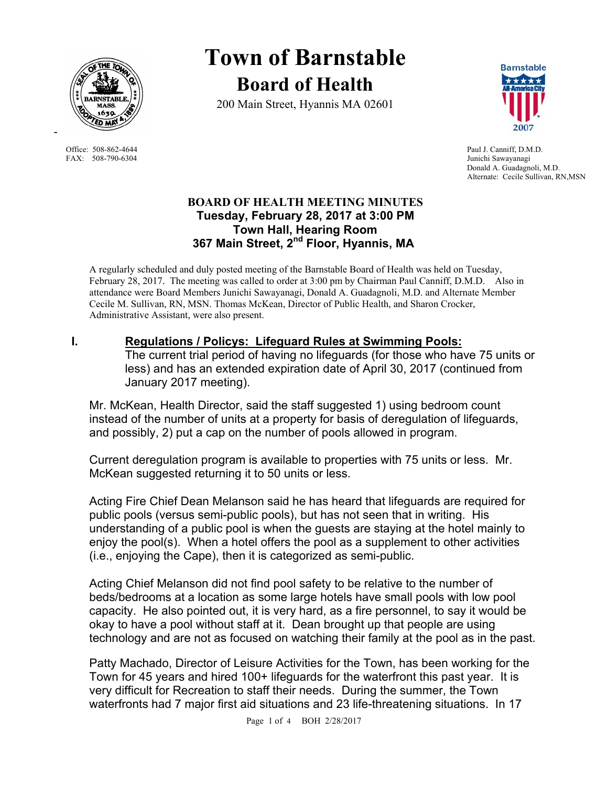

FAX: 508-790-6304 Junichi Sawayanagi

-

# **Town of Barnstable Board of Health**

200 Main Street, Hyannis MA 02601



Office: 508-862-4644 Paul J. Canniff, D.M.D. Donald A. Guadagnoli, M.D. Alternate: Cecile Sullivan, RN,MSN

#### **BOARD OF HEALTH MEETING MINUTES Tuesday, February 28, 2017 at 3:00 PM Town Hall, Hearing Room 367 Main Street, 2nd Floor, Hyannis, MA**

A regularly scheduled and duly posted meeting of the Barnstable Board of Health was held on Tuesday, February 28, 2017. The meeting was called to order at 3:00 pm by Chairman Paul Canniff, D.M.D. Also in attendance were Board Members Junichi Sawayanagi, Donald A. Guadagnoli, M.D. and Alternate Member Cecile M. Sullivan, RN, MSN. Thomas McKean, Director of Public Health, and Sharon Crocker, Administrative Assistant, were also present.

### **I. Regulations / Policys: Lifeguard Rules at Swimming Pools:**

The current trial period of having no lifeguards (for those who have 75 units or less) and has an extended expiration date of April 30, 2017 (continued from January 2017 meeting).

Mr. McKean, Health Director, said the staff suggested 1) using bedroom count instead of the number of units at a property for basis of deregulation of lifeguards, and possibly, 2) put a cap on the number of pools allowed in program.

Current deregulation program is available to properties with 75 units or less. Mr. McKean suggested returning it to 50 units or less.

Acting Fire Chief Dean Melanson said he has heard that lifeguards are required for public pools (versus semi-public pools), but has not seen that in writing. His understanding of a public pool is when the guests are staying at the hotel mainly to enjoy the pool(s). When a hotel offers the pool as a supplement to other activities (i.e., enjoying the Cape), then it is categorized as semi-public.

Acting Chief Melanson did not find pool safety to be relative to the number of beds/bedrooms at a location as some large hotels have small pools with low pool capacity. He also pointed out, it is very hard, as a fire personnel, to say it would be okay to have a pool without staff at it. Dean brought up that people are using technology and are not as focused on watching their family at the pool as in the past.

Patty Machado, Director of Leisure Activities for the Town, has been working for the Town for 45 years and hired 100+ lifeguards for the waterfront this past year. It is very difficult for Recreation to staff their needs. During the summer, the Town waterfronts had 7 major first aid situations and 23 life-threatening situations. In 17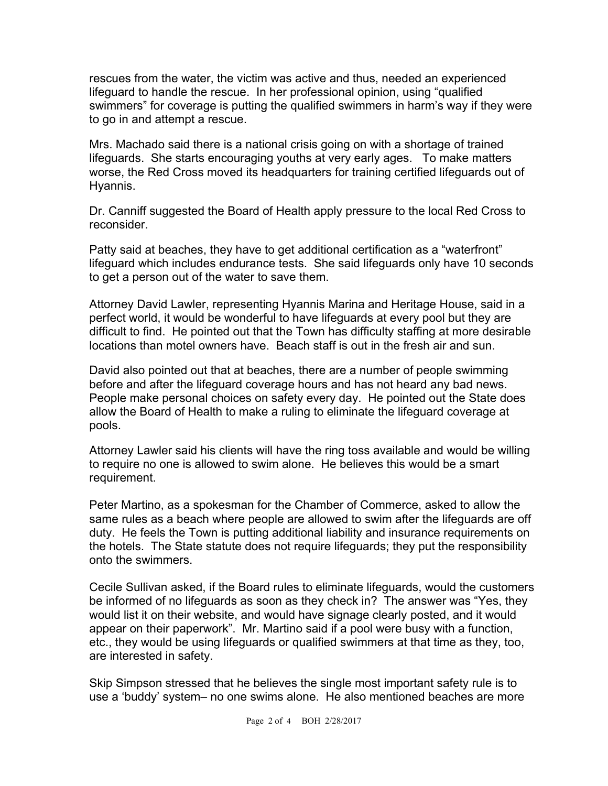rescues from the water, the victim was active and thus, needed an experienced lifeguard to handle the rescue. In her professional opinion, using "qualified swimmers" for coverage is putting the qualified swimmers in harm's way if they were to go in and attempt a rescue.

Mrs. Machado said there is a national crisis going on with a shortage of trained lifeguards. She starts encouraging youths at very early ages. To make matters worse, the Red Cross moved its headquarters for training certified lifeguards out of Hyannis.

Dr. Canniff suggested the Board of Health apply pressure to the local Red Cross to reconsider.

Patty said at beaches, they have to get additional certification as a "waterfront" lifeguard which includes endurance tests. She said lifeguards only have 10 seconds to get a person out of the water to save them.

Attorney David Lawler, representing Hyannis Marina and Heritage House, said in a perfect world, it would be wonderful to have lifeguards at every pool but they are difficult to find. He pointed out that the Town has difficulty staffing at more desirable locations than motel owners have. Beach staff is out in the fresh air and sun.

David also pointed out that at beaches, there are a number of people swimming before and after the lifeguard coverage hours and has not heard any bad news. People make personal choices on safety every day. He pointed out the State does allow the Board of Health to make a ruling to eliminate the lifeguard coverage at pools.

Attorney Lawler said his clients will have the ring toss available and would be willing to require no one is allowed to swim alone. He believes this would be a smart requirement.

Peter Martino, as a spokesman for the Chamber of Commerce, asked to allow the same rules as a beach where people are allowed to swim after the lifeguards are off duty. He feels the Town is putting additional liability and insurance requirements on the hotels. The State statute does not require lifeguards; they put the responsibility onto the swimmers.

Cecile Sullivan asked, if the Board rules to eliminate lifeguards, would the customers be informed of no lifeguards as soon as they check in? The answer was "Yes, they would list it on their website, and would have signage clearly posted, and it would appear on their paperwork". Mr. Martino said if a pool were busy with a function, etc., they would be using lifeguards or qualified swimmers at that time as they, too, are interested in safety.

Skip Simpson stressed that he believes the single most important safety rule is to use a 'buddy' system– no one swims alone. He also mentioned beaches are more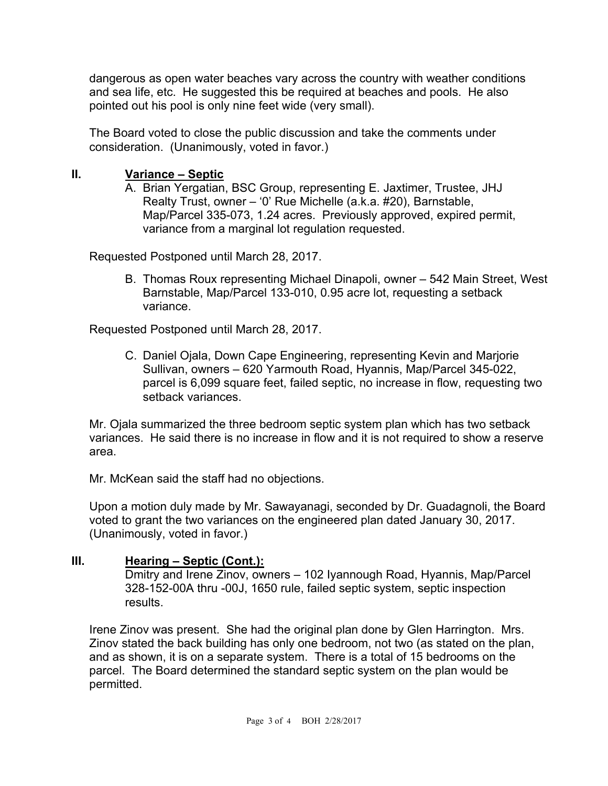dangerous as open water beaches vary across the country with weather conditions and sea life, etc. He suggested this be required at beaches and pools. He also pointed out his pool is only nine feet wide (very small).

The Board voted to close the public discussion and take the comments under consideration. (Unanimously, voted in favor.)

### **II. Variance – Septic**

A. Brian Yergatian, BSC Group, representing E. Jaxtimer, Trustee, JHJ Realty Trust, owner – '0' Rue Michelle (a.k.a. #20), Barnstable, Map/Parcel 335-073, 1.24 acres. Previously approved, expired permit, variance from a marginal lot regulation requested.

Requested Postponed until March 28, 2017.

B. Thomas Roux representing Michael Dinapoli, owner – 542 Main Street, West Barnstable, Map/Parcel 133-010, 0.95 acre lot, requesting a setback variance.

Requested Postponed until March 28, 2017.

C. Daniel Ojala, Down Cape Engineering, representing Kevin and Marjorie Sullivan, owners – 620 Yarmouth Road, Hyannis, Map/Parcel 345-022, parcel is 6,099 square feet, failed septic, no increase in flow, requesting two setback variances.

Mr. Ojala summarized the three bedroom septic system plan which has two setback variances. He said there is no increase in flow and it is not required to show a reserve area.

Mr. McKean said the staff had no objections.

Upon a motion duly made by Mr. Sawayanagi, seconded by Dr. Guadagnoli, the Board voted to grant the two variances on the engineered plan dated January 30, 2017. (Unanimously, voted in favor.)

## **III. Hearing – Septic (Cont.):**

Dmitry and Irene Zinov, owners – 102 Iyannough Road, Hyannis, Map/Parcel 328-152-00A thru -00J, 1650 rule, failed septic system, septic inspection results.

Irene Zinov was present. She had the original plan done by Glen Harrington. Mrs. Zinov stated the back building has only one bedroom, not two (as stated on the plan, and as shown, it is on a separate system. There is a total of 15 bedrooms on the parcel. The Board determined the standard septic system on the plan would be permitted.